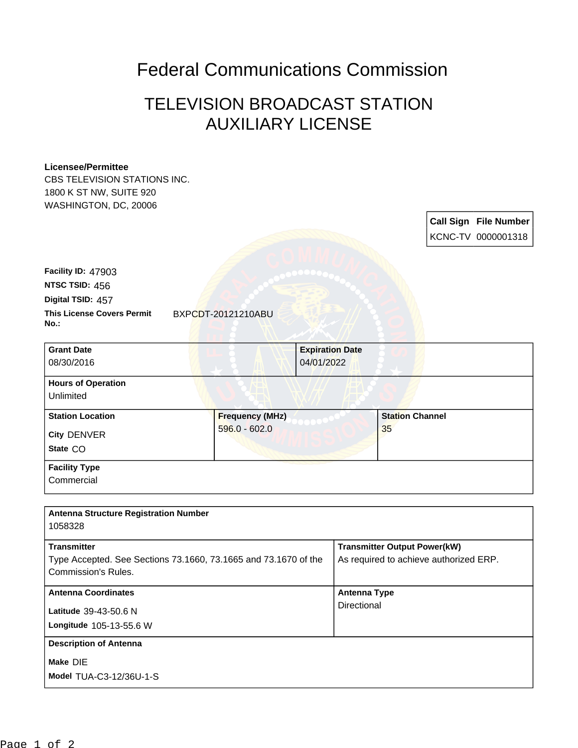## Federal Communications Commission

## TELEVISION BROADCAST STATION AUXILIARY LICENSE

## **Licensee/Permittee**

CBS TELEVISION STATIONS INC. 1800 K ST NW, SUITE 920 WASHINGTON, DC, 20006

> **Call Sign File Number** KCNC-TV 0000001318

| <b>Facility ID: 47903</b>         |
|-----------------------------------|
| NTSC TSID: 456                    |
| Digital TSID: 457                 |
| <b>This License Covers Permit</b> |
| No.:                              |

**This License Covers Permit** BXPCDT-20121210ABU

| <b>Grant Date</b>         | <b>Expiration Date</b> |  |                        |  |
|---------------------------|------------------------|--|------------------------|--|
|                           |                        |  |                        |  |
| 08/30/2016                |                        |  | 04/01/2022             |  |
| <b>Hours of Operation</b> |                        |  |                        |  |
| Unlimited                 |                        |  |                        |  |
| <b>Station Location</b>   | <b>Frequency (MHz)</b> |  | <b>Station Channel</b> |  |
| <b>City DENVER</b>        | $596.0 - 602.0$        |  | 35                     |  |
| State CO                  |                        |  |                        |  |
| <b>Facility Type</b>      |                        |  |                        |  |
|                           |                        |  |                        |  |
| Commercial                |                        |  |                        |  |

| <b>Antenna Structure Registration Number</b><br>1058328                                                      |                                                                               |
|--------------------------------------------------------------------------------------------------------------|-------------------------------------------------------------------------------|
| <b>Transmitter</b><br>Type Accepted. See Sections 73.1660, 73.1665 and 73.1670 of the<br>Commission's Rules. | <b>Transmitter Output Power(kW)</b><br>As required to achieve authorized ERP. |
| <b>Antenna Coordinates</b><br>Latitude 39-43-50.6 N<br>Longitude 105-13-55.6 W                               | <b>Antenna Type</b><br>Directional                                            |
| <b>Description of Antenna</b><br>Make DIE<br><b>Model TUA-C3-12/36U-1-S</b>                                  |                                                                               |